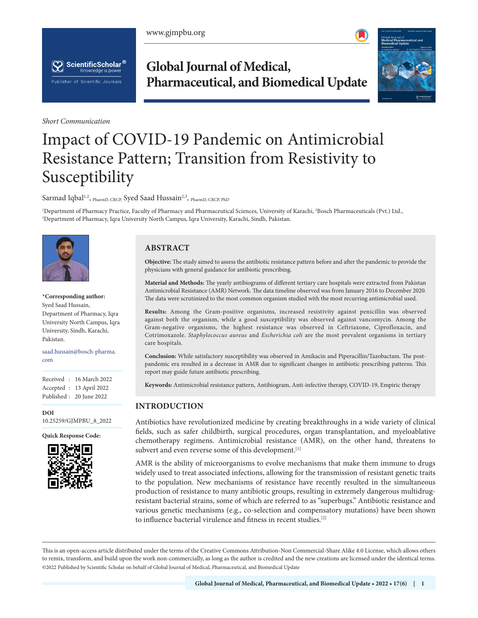www.gjmpbu.org





*Short Communication*

# **Global Journal of Medical, Pharmaceutical, and Biomedical Update**



# Impact of COVID-19 Pandemic on Antimicrobial Resistance Pattern; Transition from Resistivity to Susceptibility

Sarmad Iqbal<sup>1,2</sup>, PharmD, CRCP, Syed Saad Hussain<sup>2,3</sup>, PharmD, CRCP, PhD

<sup>1</sup>Department of Pharmacy Practice, Faculty of Pharmacy and Pharmaceutical Sciences, University of Karachi, <sup>2</sup>Bosch Pharmaceuticals (Pvt.) Ltd.,<br><sup>3</sup>Department of Pharmacy Jora University North Campus, Jora University Kara Department of Pharmacy, Iqra University North Campus, Iqra University, Karachi, Sindh, Pakistan.



**\*Corresponding author:** Syed Saad Hussain, Department of Pharmacy, Iqra University North Campus, Iqra University, Sindh, Karachi, Pakistan.

saad.hussain@bosch-pharma. com

Received : 16 March 2022 Accepted : 13 April 2022 Published : 20 June 2022

**DOI** [10.25259/GJMPBU\\_8\\_2022](https://dx.doi.org/10.25259/GJMPBU_8_2022)



# **ABSTRACT**

**Objective:** The study aimed to assess the antibiotic resistance pattern before and after the pandemic to provide the physicians with general guidance for antibiotic prescribing.

**Material and Methods:** The yearly antibiograms of different tertiary care hospitals were extracted from Pakistan Antimicrobial Resistance (AMR) Network. The data timeline observed was from January 2016 to December 2020. The data were scrutinized to the most common organism studied with the most recurring antimicrobial used.

**Results:** Among the Gram-positive organisms, increased resistivity against penicillin was observed against both the organism, while a good susceptibility was observed against vancomycin. Among the Gram-negative organisms, the highest resistance was observed in Ceftriaxone, Ciprofloxacin, and Cotrimoxazole. *Staphylococcus aureus* and *Escherichia coli* are the most prevalent organisms in tertiary care hospitals.

**Conclusion:** While satisfactory susceptibility was observed in Amikacin and Piperacillin/Tazobactam. The postpandemic era resulted in a decrease in AMR due to significant changes in antibiotic prescribing patterns. This report may guide future antibiotic prescribing.

**Keywords:** Antimicrobial resistance pattern, Antibiogram, Anti-infective therapy, COVID-19, Empiric therapy

# **INTRODUCTION**

Antibiotics have revolutionized medicine by creating breakthroughs in a wide variety of clinical fields, such as safer childbirth, surgical procedures, organ transplantation, and myeloablative chemotherapy regimens. Antimicrobial resistance (AMR), on the other hand, threatens to subvert and even reverse some of this development.<sup>[1]</sup>

AMR is the ability of microorganisms to evolve mechanisms that make them immune to drugs widely used to treat associated infections, allowing for the transmission of resistant genetic traits to the population. New mechanisms of resistance have recently resulted in the simultaneous production of resistance to many antibiotic groups, resulting in extremely dangerous multidrugresistant bacterial strains, some of which are referred to as "superbugs." Antibiotic resistance and various genetic mechanisms (e.g., co-selection and compensatory mutations) have been shown to influence bacterial virulence and fitness in recent studies.[2]

is is an open-access article distributed under the terms of the Creative Commons Attribution-Non Commercial-Share Alike 4.0 License, which allows others to remix, transform, and build upon the work non-commercially, as long as the author is credited and the new creations are licensed under the identical terms. ©2022 Published by Scientific Scholar on behalf of Global Journal of Medical, Pharmaceutical, and Biomedical Update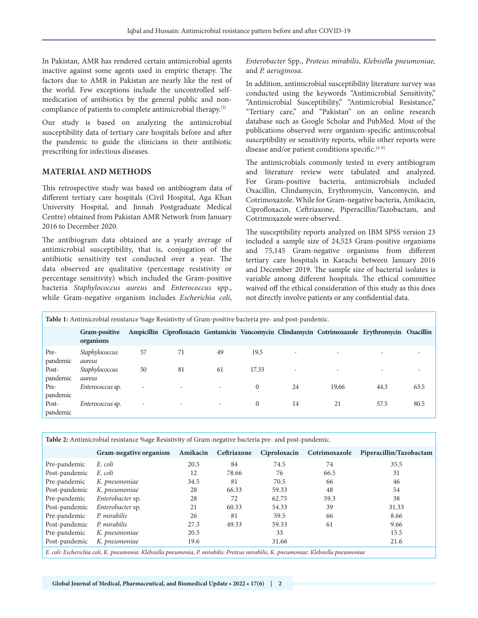In Pakistan, AMR has rendered certain antimicrobial agents inactive against some agents used in empiric therapy. The factors due to AMR in Pakistan are nearly like the rest of the world. Few exceptions include the uncontrolled selfmedication of antibiotics by the general public and noncompliance of patients to complete antimicrobial therapy.[3]

Our study is based on analyzing the antimicrobial susceptibility data of tertiary care hospitals before and after the pandemic to guide the clinicians in their antibiotic prescribing for infectious diseases.

## **MATERIAL AND METHODS**

This retrospective study was based on antibiogram data of different tertiary care hospitals (Civil Hospital, Aga Khan University Hospital, and Jinnah Postgraduate Medical Centre) obtained from Pakistan AMR Network from January 2016 to December 2020.

The antibiogram data obtained are a yearly average of antimicrobial susceptibility, that is, conjugation of the antibiotic sensitivity test conducted over a year. The data observed are qualitative (percentage resistivity or percentage sensitivity) which included the Gram-positive bacteria *Staphylococcus aureus* and *Enterococcus* spp., while Gram-negative organism includes *Escherichia coli*,

*Enterobacter* Spp., *Proteus mirabilis*, *Klebsiella pneumoniae,* and *P. aeruginosa*.

In addition, antimicrobial susceptibility literature survey was conducted using the keywords "Antimicrobial Sensitivity," "Antimicrobial Susceptibility," "Antimicrobial Resistance," "Tertiary care," and "Pakistan" on an online research database such as Google Scholar and PubMed. Most of the publications observed were organism-specific antimicrobial susceptibility or sensitivity reports, while other reports were disease and/or patient conditions specific.[4-9]

The antimicrobials commonly tested in every antibiogram and literature review were tabulated and analyzed. For Gram-positive bacteria, antimicrobials included Oxacillin, Clindamycin, Erythromycin, Vancomycin, and Cotrimoxazole. While for Gram-negative bacteria, Amikacin, Ciprofloxacin, Ceftriaxone, Piperacillin/Tazobactam, and Cotrimoxazole were observed.

The susceptibility reports analyzed on IBM SPSS version 23 included a sample size of 24,523 Gram-positive organisms and 75,145 Gram-negative organisms from different tertiary care hospitals in Karachi between January 2016 and December 2019. The sample size of bacterial isolates is variable among different hospitals. The ethical committee waived off the ethical consideration of this study as this does not directly involve patients or any confidential data.

| Table 1: Antimicrobial resistance %age Resistivity of Gram-positive bacteria pre- and post-pandemic. |                            |                          |                          |                          |          |                          |                                                                                                 |      |      |  |  |  |
|------------------------------------------------------------------------------------------------------|----------------------------|--------------------------|--------------------------|--------------------------|----------|--------------------------|-------------------------------------------------------------------------------------------------|------|------|--|--|--|
|                                                                                                      | Gram-positive<br>organisms |                          |                          |                          |          |                          | Ampicillin Ciprofloxacin Gentamicin Vancomycin Clindamycin Cotrimoxazole Erythromycin Oxacillin |      |      |  |  |  |
| Pre-<br>pandemic                                                                                     | Staphylococcus<br>aureus   | 57                       | 71                       | 49                       | 19.5     | ٠                        |                                                                                                 |      |      |  |  |  |
| Post-<br>pandemic                                                                                    | Staphylococcus<br>aureus   | 50                       | 81                       | 61                       | 17.33    | $\overline{\phantom{a}}$ |                                                                                                 |      |      |  |  |  |
| Pre-<br>pandemic                                                                                     | <i>Enterococcus</i> sp.    | -                        | $\overline{\phantom{0}}$ | $\overline{\phantom{0}}$ | $\Omega$ | 24                       | 19.66                                                                                           | 44.3 | 63.5 |  |  |  |
| Post-<br>pandemic                                                                                    | Enterococcus sp.           | $\overline{\phantom{0}}$ | $\overline{\phantom{0}}$ | $\overline{\phantom{0}}$ | $\Omega$ | 14                       | 21                                                                                              | 57.5 | 80.5 |  |  |  |

**Table 2:** Antimicrobial resistance %age Resistivity of Gram-negative bacteria pre- and post-pandemic.

|                                                                                                                                 | Gram-negative organism | Amikacin | Ceftriaxone |       | Ciproloxacin Cotrimoxazole | Piperacillin/Tazobactam |  |  |
|---------------------------------------------------------------------------------------------------------------------------------|------------------------|----------|-------------|-------|----------------------------|-------------------------|--|--|
| Pre-pandemic                                                                                                                    | E. coli                | 20.5     | 84          | 74.5  | 74                         | 35.5                    |  |  |
| Post-pandemic                                                                                                                   | E. coli                | 12       | 78.66       | 76    | 66.5                       | 31                      |  |  |
| Pre-pandemic                                                                                                                    | K. pneumoniae          | 34.5     | 81          | 70.5  | 66                         | 46                      |  |  |
| Post-pandemic                                                                                                                   | K. pneumoniae          | 28       | 66.33       | 59.33 | 48                         | 54                      |  |  |
| Pre-pandemic                                                                                                                    | Enterobacter sp.       | 28       | 72          | 62.75 | 59.3                       | 38                      |  |  |
| Post-pandemic                                                                                                                   | Enterobacter sp.       | 21       | 60.33       | 54.33 | 39                         | 31.33                   |  |  |
| Pre-pandemic                                                                                                                    | P. mirabilis           | 26       | 81          | 59.5  | 66                         | 8.66                    |  |  |
| Post-pandemic                                                                                                                   | P. mirabilis           | 27.3     | 49.33       | 59.33 | 61                         | 9.66                    |  |  |
| Pre-pandemic                                                                                                                    | K. pneumoniae          | 20.5     |             | 33    |                            | 15.5                    |  |  |
| Post-pandemic                                                                                                                   | K. pneumoniae          | 19.6     |             | 31.66 |                            | 21.6                    |  |  |
| E coli: Escherichia coli K pneumonia: Klebsiella pneumonia. P mirabilis: Proteus mirabilis. K pneumoniae: Klebsiella pneumoniae |                        |          |             |       |                            |                         |  |  |

*E. coli: Escherichia coli, K. pneumonia: Klebsiella pneumonia, P. mirabilis: Proteus mirabilis, K. pneumoniae: Klebsiella pneumoniae*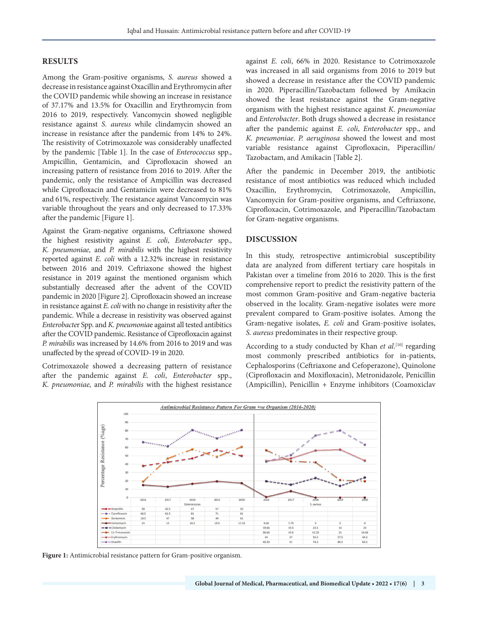#### **RESULTS**

Among the Gram-positive organisms, *S. aureus* showed a decrease in resistance against Oxacillin and Erythromycin after the COVID pandemic while showing an increase in resistance of 37.17% and 13.5% for Oxacillin and Erythromycin from 2016 to 2019, respectively. Vancomycin showed negligible resistance against *S. aureus* while clindamycin showed an increase in resistance after the pandemic from 14% to 24%. The resistivity of Cotrimoxazole was considerably unaffected by the pandemic [Table 1]. In the case of *Enterococcus* spp., Ampicillin, Gentamicin, and Ciprofloxacin showed an increasing pattern of resistance from 2016 to 2019. After the pandemic, only the resistance of Ampicillin was decreased while Ciprofloxacin and Gentamicin were decreased to 81% and 61%, respectively. The resistance against Vancomycin was variable throughout the years and only decreased to 17.33% after the pandemic [Figure 1].

Against the Gram-negative organisms, Ceftriaxone showed the highest resistivity against *E. coli*, *Enterobacter* spp., *K. pneumoniae,* and *P. mirabilis* with the highest resistivity reported against *E. coli* with a 12.32% increase in resistance between 2016 and 2019. Ceftriaxone showed the highest resistance in 2019 against the mentioned organism which substantially decreased after the advent of the COVID pandemic in 2020 [Figure 2]. Ciprofloxacin showed an increase in resistance against *E. coli* with no change in resistivity after the pandemic. While a decrease in resistivity was observed against *Enterobacte*r Spp. and *K. pneumonia*e against all tested antibitics after the COVID pandemic. Resistance of Ciprofloxacin against *P. mirabilis* was increased by 14.6% from 2016 to 2019 and was unaffected by the spread of COVID-19 in 2020.

Cotrimoxazole showed a decreasing pattern of resistance after the pandemic against *E. coli*, *Enterobacter* spp., *K. pneumoniae,* and *P. mirabilis* with the highest resistance against *E. coli*, 66% in 2020. Resistance to Cotrimoxazole was increased in all said organisms from 2016 to 2019 but showed a decrease in resistance after the COVID pandemic in 2020. Piperacillin/Tazobactam followed by Amikacin showed the least resistance against the Gram-negative organism with the highest resistance against *K. pneumoniae* and *Enterobacter*. Both drugs showed a decrease in resistance after the pandemic against *E. coli*, *Enterobacter* spp., and *K. pneumoniae*. *P. aeruginosa* showed the lowest and most variable resistance against Ciprofloxacin, Piperacillin/ Tazobactam, and Amikacin [Table 2].

After the pandemic in December 2019, the antibiotic resistance of most antibiotics was reduced which included Oxacillin, Erythromycin, Cotrimoxazole, Ampicillin, Vancomycin for Gram-positive organisms, and Ceftriaxone, Ciprofloxacin, Cotrimoxazole, and Piperacillin/Tazobactam for Gram-negative organisms.

#### **DISCUSSION**

In this study, retrospective antimicrobial susceptibility data are analyzed from different tertiary care hospitals in Pakistan over a timeline from 2016 to 2020. This is the first comprehensive report to predict the resistivity pattern of the most common Gram-positive and Gram-negative bacteria observed in the locality. Gram-negative isolates were more prevalent compared to Gram-positive isolates. Among the Gram-negative isolates, *E. coli* and Gram-positive isolates, *S. aureus* predominates in their respective group.

According to a study conducted by Khan *et al*.<sup>[10]</sup> regarding most commonly prescribed antibiotics for in-patients, Cephalosporins (Ceftriaxone and Cefoperazone), Quinolone (Ciprofloxacin and Moxifloxacin), Metronidazole, Penicillin (Ampicillin), Penicillin + Enzyme inhibitors (Coamoxiclav



**Figure 1:** Antimicrobial resistance pattern for Gram-positive organism.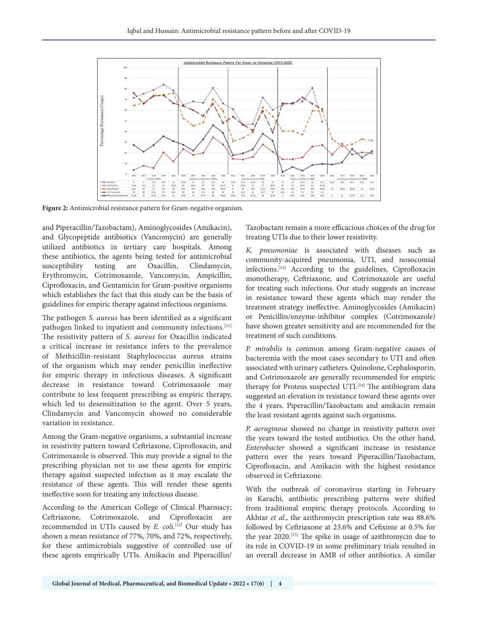

**Figure 2:** Antimicrobial resistance pattern for Gram-negative organism.

and Piperacillin/Tazobactam), Aminoglycosides (Amikacin), and Glycopeptide antibiotics (Vancomycin) are generally utilized antibiotics in tertiary care hospitals. Among these antibiotics, the agents being tested for antimicrobial susceptibility testing are Oxacillin, Clindamycin, Erythromycin, Cotrimoxazole, Vancomycin, Ampicillin, Ciprofloxacin, and Gentamicin for Gram-positive organisms which establishes the fact that this study can be the basis of guidelines for empiric therapy against infectious organisms.

The pathogen *S. aureus* has been identified as a significant pathogen linked to inpatient and community infections.<sup>[11]</sup> The resistivity pattern of *S. aureus* for Oxacillin indicated a critical increase in resistance infers to the prevalence of Methicillin-resistant Staphylococcus aureus strains of the organism which may render penicillin ineffective for empiric therapy in infectious diseases. A significant decrease in resistance toward Cotrimoxazole may contribute to less frequent prescribing as empiric therapy, which led to desensitization to the agent. Over 5 years, Clindamycin and Vancomycin showed no considerable variation in resistance.

Among the Gram-negative organisms, a substantial increase in resistivity pattern toward Ceftriaxone, Ciprofloxacin, and Cotrimoxazole is observed. This may provide a signal to the prescribing physician not to use these agents for empiric therapy against suspected infection as it may escalate the resistance of these agents. This will render these agents ineffective soon for treating any infectious disease.

According to the American College of Clinical Pharmacy; Ceftriaxone, Cotrimoxazole, and Ciprofloxacin are recommended in UTIs caused by *E. coli*. [12] Our study has shown a mean resistance of 77%, 70%, and 72%, respectively, for these antimicrobials suggestive of controlled use of these agents empirically UTIs. Amikacin and Piperacillin/

Tazobactam remain a more efficacious choices of the drug for treating UTIs due to their lower resistivity.

*K. pneumoniae* is associated with diseases such as community-acquired pneumonia, UTI, and nosocomial infections.[13] According to the guidelines, Ciprofloxacin monotherapy, Ceftriaxone, and Cotrimoxazole are useful for treating such infections. Our study suggests an increase in resistance toward these agents which may render the treatment strategy ineffective. Aminoglycosides (Amikacin) or Penicillin/enzyme-inhibitor complex (Cotrimoxazole) have shown greater sensitivity and are recommended for the treatment of such conditions.

*P. mirabilis* is common among Gram-negative causes of bacteremia with the most cases secondary to UTI and often associated with urinary catheters. Quinolone, Cephalosporin, and Cotrimoxazole are generally recommended for empiric therapy for Proteus suspected UTI.<sup>[14]</sup> The antibiogram data suggested an elevation in resistance toward these agents over the 4 years. Piperacillin/Tazobactam and amikacin remain the least resistant agents against such organisms.

*P. aeruginosa* showed no change in resistivity pattern over the years toward the tested antibiotics. On the other hand, *Enterobacter* showed a significant increase in resistance pattern over the years toward Piperacillin/Tazobactam, Ciprofloxacin, and Amikacin with the highest resistance observed in Ceftriaxone.

With the outbreak of coronavirus starting in February in Karachi, antibiotic prescribing patterns were shifted from traditional empiric therapy protocols. According to Akhtar *et al*., the azithromycin prescription rate was 88.6% followed by Ceftriaxone at 23.6% and Cefixime at 0.5% for the year 2020.<sup>[15]</sup> The spike in usage of azithromycin due to its role in COVID-19 in some preliminary trials resulted in an overall decrease in AMR of other antibiotics. A similar